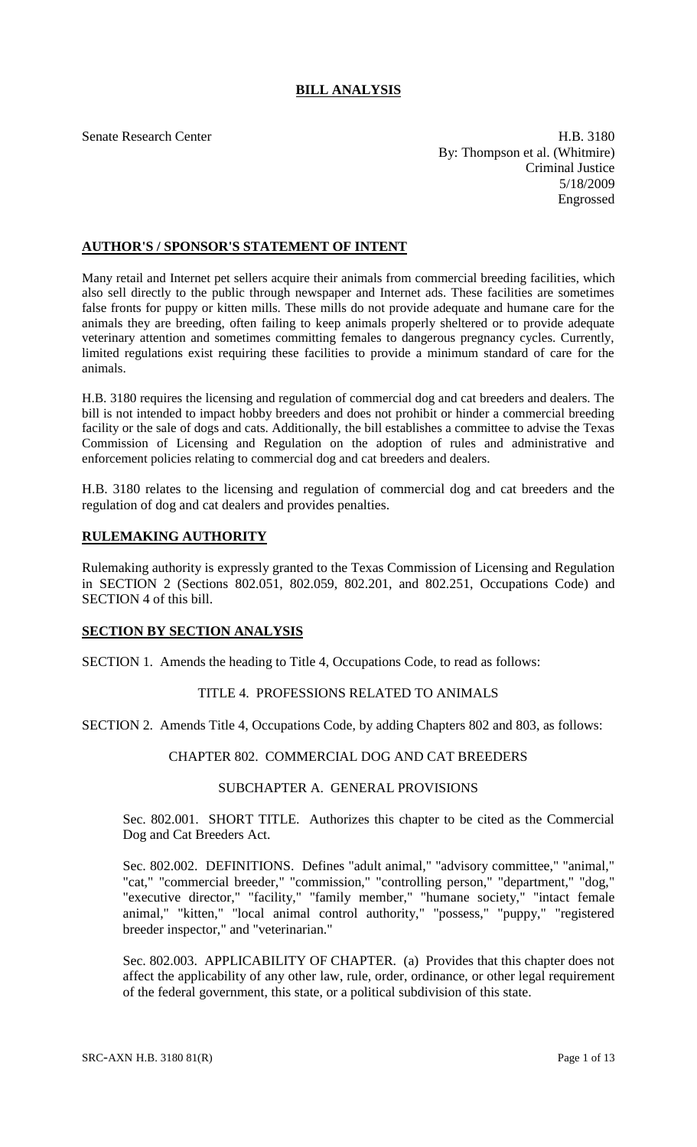# **BILL ANALYSIS**

Senate Research Center **H.B.** 3180 By: Thompson et al. (Whitmire) Criminal Justice 5/18/2009 Engrossed

## **AUTHOR'S / SPONSOR'S STATEMENT OF INTENT**

Many retail and Internet pet sellers acquire their animals from commercial breeding facilities, which also sell directly to the public through newspaper and Internet ads. These facilities are sometimes false fronts for puppy or kitten mills. These mills do not provide adequate and humane care for the animals they are breeding, often failing to keep animals properly sheltered or to provide adequate veterinary attention and sometimes committing females to dangerous pregnancy cycles. Currently, limited regulations exist requiring these facilities to provide a minimum standard of care for the animals.

H.B. 3180 requires the licensing and regulation of commercial dog and cat breeders and dealers. The bill is not intended to impact hobby breeders and does not prohibit or hinder a commercial breeding facility or the sale of dogs and cats. Additionally, the bill establishes a committee to advise the Texas Commission of Licensing and Regulation on the adoption of rules and administrative and enforcement policies relating to commercial dog and cat breeders and dealers.

H.B. 3180 relates to the licensing and regulation of commercial dog and cat breeders and the regulation of dog and cat dealers and provides penalties.

## **RULEMAKING AUTHORITY**

Rulemaking authority is expressly granted to the Texas Commission of Licensing and Regulation in SECTION 2 (Sections 802.051, 802.059, 802.201, and 802.251, Occupations Code) and SECTION 4 of this bill.

## **SECTION BY SECTION ANALYSIS**

SECTION 1. Amends the heading to Title 4, Occupations Code, to read as follows:

## TITLE 4. PROFESSIONS RELATED TO ANIMALS

SECTION 2. Amends Title 4, Occupations Code, by adding Chapters 802 and 803, as follows:

## CHAPTER 802. COMMERCIAL DOG AND CAT BREEDERS

#### SUBCHAPTER A. GENERAL PROVISIONS

Sec. 802.001. SHORT TITLE. Authorizes this chapter to be cited as the Commercial Dog and Cat Breeders Act.

Sec. 802.002. DEFINITIONS. Defines "adult animal," "advisory committee," "animal," "cat," "commercial breeder," "commission," "controlling person," "department," "dog," "executive director," "facility," "family member," "humane society," "intact female animal," "kitten," "local animal control authority," "possess," "puppy," "registered breeder inspector," and "veterinarian."

Sec. 802.003. APPLICABILITY OF CHAPTER. (a) Provides that this chapter does not affect the applicability of any other law, rule, order, ordinance, or other legal requirement of the federal government, this state, or a political subdivision of this state.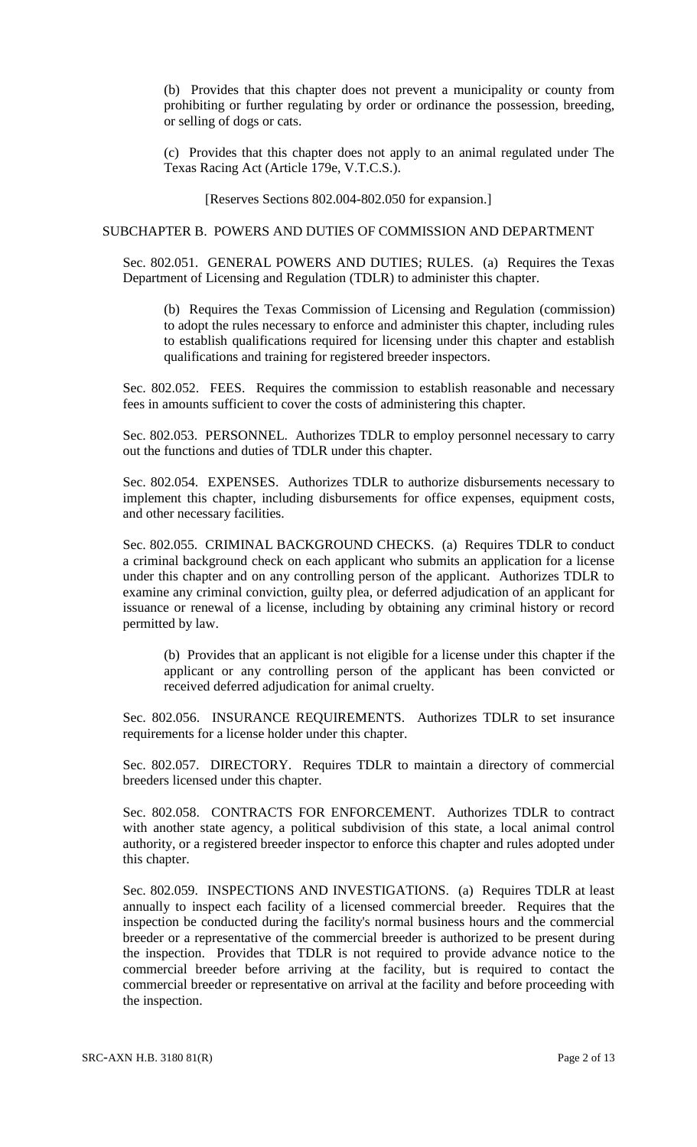(b) Provides that this chapter does not prevent a municipality or county from prohibiting or further regulating by order or ordinance the possession, breeding, or selling of dogs or cats.

(c) Provides that this chapter does not apply to an animal regulated under The Texas Racing Act (Article 179e, V.T.C.S.).

[Reserves Sections 802.004-802.050 for expansion.]

### SUBCHAPTER B. POWERS AND DUTIES OF COMMISSION AND DEPARTMENT

Sec. 802.051. GENERAL POWERS AND DUTIES; RULES. (a) Requires the Texas Department of Licensing and Regulation (TDLR) to administer this chapter.

(b) Requires the Texas Commission of Licensing and Regulation (commission) to adopt the rules necessary to enforce and administer this chapter, including rules to establish qualifications required for licensing under this chapter and establish qualifications and training for registered breeder inspectors.

Sec. 802.052. FEES. Requires the commission to establish reasonable and necessary fees in amounts sufficient to cover the costs of administering this chapter.

Sec. 802.053. PERSONNEL. Authorizes TDLR to employ personnel necessary to carry out the functions and duties of TDLR under this chapter.

Sec. 802.054. EXPENSES. Authorizes TDLR to authorize disbursements necessary to implement this chapter, including disbursements for office expenses, equipment costs, and other necessary facilities.

Sec. 802.055. CRIMINAL BACKGROUND CHECKS. (a) Requires TDLR to conduct a criminal background check on each applicant who submits an application for a license under this chapter and on any controlling person of the applicant. Authorizes TDLR to examine any criminal conviction, guilty plea, or deferred adjudication of an applicant for issuance or renewal of a license, including by obtaining any criminal history or record permitted by law.

(b) Provides that an applicant is not eligible for a license under this chapter if the applicant or any controlling person of the applicant has been convicted or received deferred adjudication for animal cruelty.

Sec. 802.056. INSURANCE REQUIREMENTS. Authorizes TDLR to set insurance requirements for a license holder under this chapter.

Sec. 802.057. DIRECTORY. Requires TDLR to maintain a directory of commercial breeders licensed under this chapter.

Sec. 802.058. CONTRACTS FOR ENFORCEMENT. Authorizes TDLR to contract with another state agency, a political subdivision of this state, a local animal control authority, or a registered breeder inspector to enforce this chapter and rules adopted under this chapter.

Sec. 802.059. INSPECTIONS AND INVESTIGATIONS. (a) Requires TDLR at least annually to inspect each facility of a licensed commercial breeder. Requires that the inspection be conducted during the facility's normal business hours and the commercial breeder or a representative of the commercial breeder is authorized to be present during the inspection. Provides that TDLR is not required to provide advance notice to the commercial breeder before arriving at the facility, but is required to contact the commercial breeder or representative on arrival at the facility and before proceeding with the inspection.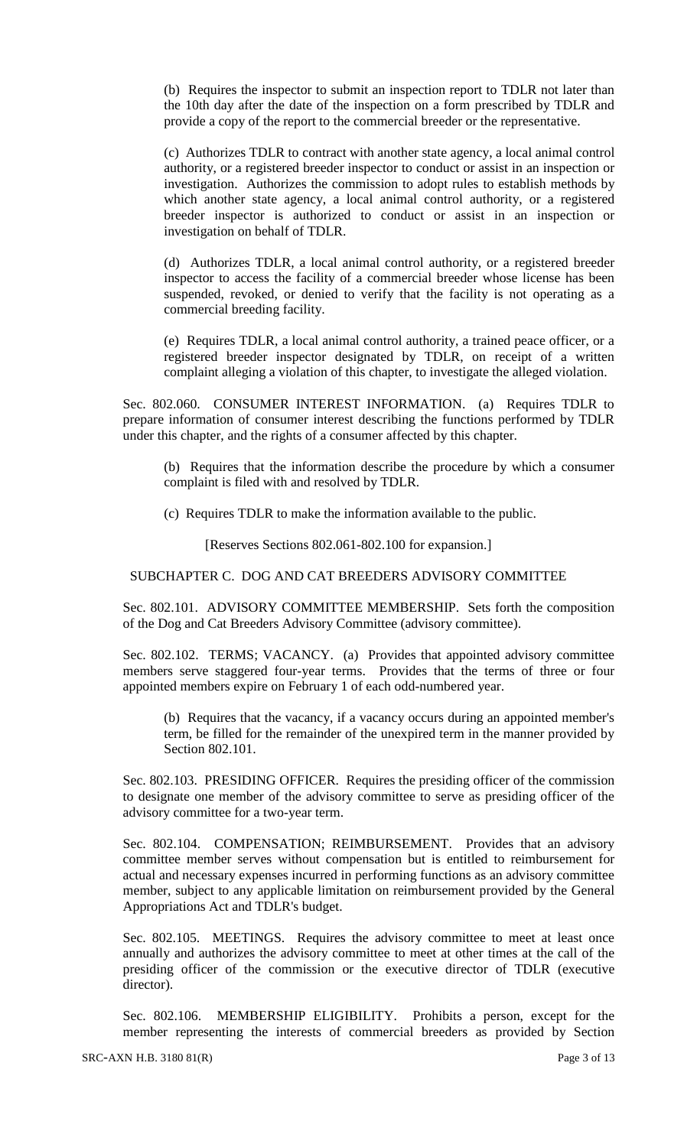(b) Requires the inspector to submit an inspection report to TDLR not later than the 10th day after the date of the inspection on a form prescribed by TDLR and provide a copy of the report to the commercial breeder or the representative.

(c) Authorizes TDLR to contract with another state agency, a local animal control authority, or a registered breeder inspector to conduct or assist in an inspection or investigation. Authorizes the commission to adopt rules to establish methods by which another state agency, a local animal control authority, or a registered breeder inspector is authorized to conduct or assist in an inspection or investigation on behalf of TDLR.

(d) Authorizes TDLR, a local animal control authority, or a registered breeder inspector to access the facility of a commercial breeder whose license has been suspended, revoked, or denied to verify that the facility is not operating as a commercial breeding facility.

(e) Requires TDLR, a local animal control authority, a trained peace officer, or a registered breeder inspector designated by TDLR, on receipt of a written complaint alleging a violation of this chapter, to investigate the alleged violation.

Sec. 802.060. CONSUMER INTEREST INFORMATION. (a) Requires TDLR to prepare information of consumer interest describing the functions performed by TDLR under this chapter, and the rights of a consumer affected by this chapter.

(b) Requires that the information describe the procedure by which a consumer complaint is filed with and resolved by TDLR.

(c) Requires TDLR to make the information available to the public.

[Reserves Sections 802.061-802.100 for expansion.]

SUBCHAPTER C. DOG AND CAT BREEDERS ADVISORY COMMITTEE

Sec. 802.101. ADVISORY COMMITTEE MEMBERSHIP. Sets forth the composition of the Dog and Cat Breeders Advisory Committee (advisory committee).

Sec. 802.102. TERMS; VACANCY. (a) Provides that appointed advisory committee members serve staggered four-year terms. Provides that the terms of three or four appointed members expire on February 1 of each odd-numbered year.

(b) Requires that the vacancy, if a vacancy occurs during an appointed member's term, be filled for the remainder of the unexpired term in the manner provided by Section 802.101.

Sec. 802.103. PRESIDING OFFICER. Requires the presiding officer of the commission to designate one member of the advisory committee to serve as presiding officer of the advisory committee for a two-year term.

Sec. 802.104. COMPENSATION; REIMBURSEMENT. Provides that an advisory committee member serves without compensation but is entitled to reimbursement for actual and necessary expenses incurred in performing functions as an advisory committee member, subject to any applicable limitation on reimbursement provided by the General Appropriations Act and TDLR's budget.

Sec. 802.105. MEETINGS. Requires the advisory committee to meet at least once annually and authorizes the advisory committee to meet at other times at the call of the presiding officer of the commission or the executive director of TDLR (executive director).

Sec. 802.106. MEMBERSHIP ELIGIBILITY. Prohibits a person, except for the member representing the interests of commercial breeders as provided by Section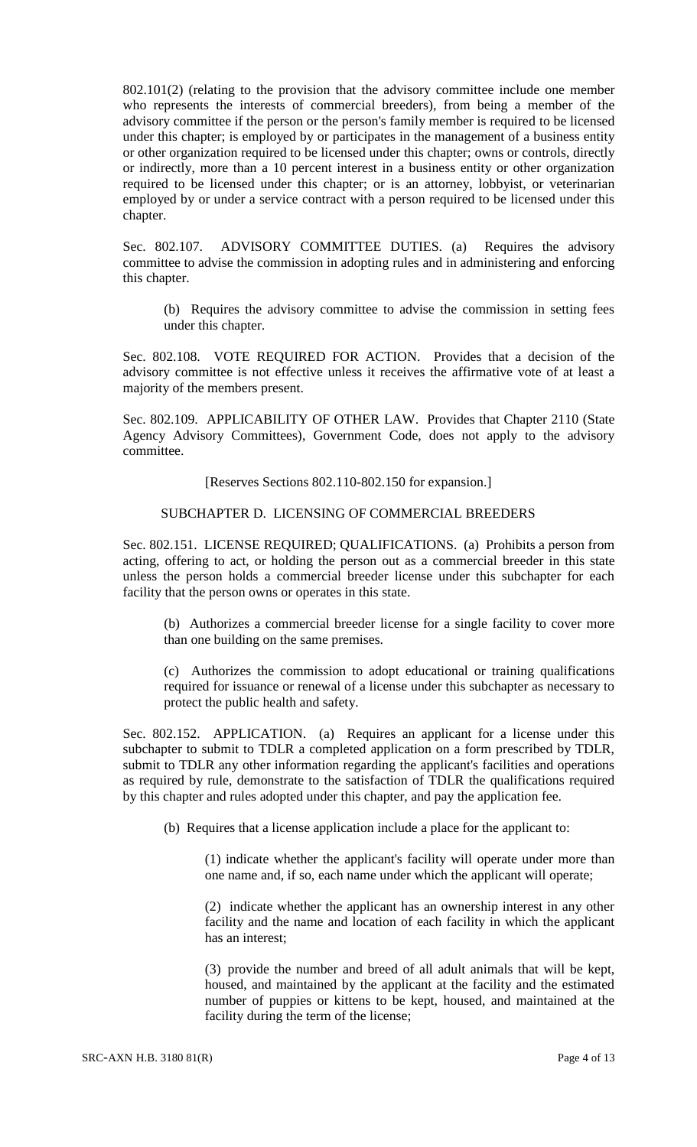802.101(2) (relating to the provision that the advisory committee include one member who represents the interests of commercial breeders), from being a member of the advisory committee if the person or the person's family member is required to be licensed under this chapter; is employed by or participates in the management of a business entity or other organization required to be licensed under this chapter; owns or controls, directly or indirectly, more than a 10 percent interest in a business entity or other organization required to be licensed under this chapter; or is an attorney, lobbyist, or veterinarian employed by or under a service contract with a person required to be licensed under this chapter.

Sec. 802.107. ADVISORY COMMITTEE DUTIES. (a) Requires the advisory committee to advise the commission in adopting rules and in administering and enforcing this chapter.

(b) Requires the advisory committee to advise the commission in setting fees under this chapter.

Sec. 802.108. VOTE REQUIRED FOR ACTION. Provides that a decision of the advisory committee is not effective unless it receives the affirmative vote of at least a majority of the members present.

Sec. 802.109. APPLICABILITY OF OTHER LAW. Provides that Chapter 2110 (State Agency Advisory Committees), Government Code, does not apply to the advisory committee.

[Reserves Sections 802.110-802.150 for expansion.]

### SUBCHAPTER D. LICENSING OF COMMERCIAL BREEDERS

Sec. 802.151. LICENSE REQUIRED; QUALIFICATIONS. (a) Prohibits a person from acting, offering to act, or holding the person out as a commercial breeder in this state unless the person holds a commercial breeder license under this subchapter for each facility that the person owns or operates in this state.

(b) Authorizes a commercial breeder license for a single facility to cover more than one building on the same premises.

(c) Authorizes the commission to adopt educational or training qualifications required for issuance or renewal of a license under this subchapter as necessary to protect the public health and safety.

Sec. 802.152. APPLICATION. (a) Requires an applicant for a license under this subchapter to submit to TDLR a completed application on a form prescribed by TDLR, submit to TDLR any other information regarding the applicant's facilities and operations as required by rule, demonstrate to the satisfaction of TDLR the qualifications required by this chapter and rules adopted under this chapter, and pay the application fee.

(b) Requires that a license application include a place for the applicant to:

(1) indicate whether the applicant's facility will operate under more than one name and, if so, each name under which the applicant will operate;

(2) indicate whether the applicant has an ownership interest in any other facility and the name and location of each facility in which the applicant has an interest;

(3) provide the number and breed of all adult animals that will be kept, housed, and maintained by the applicant at the facility and the estimated number of puppies or kittens to be kept, housed, and maintained at the facility during the term of the license;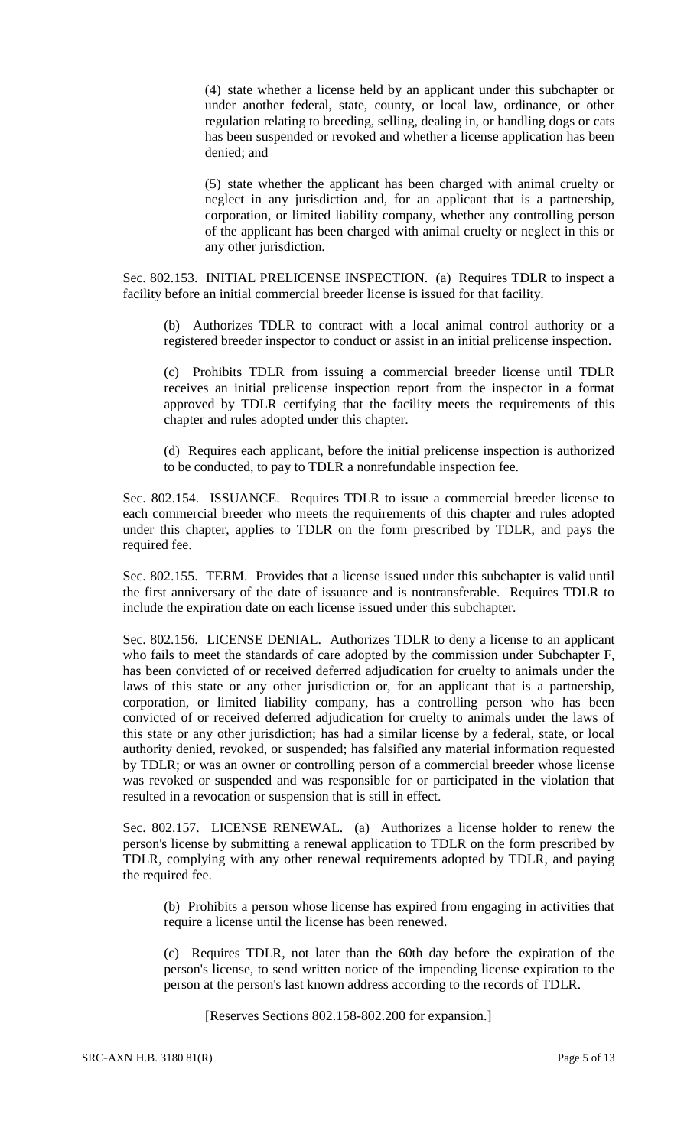(4) state whether a license held by an applicant under this subchapter or under another federal, state, county, or local law, ordinance, or other regulation relating to breeding, selling, dealing in, or handling dogs or cats has been suspended or revoked and whether a license application has been denied; and

(5) state whether the applicant has been charged with animal cruelty or neglect in any jurisdiction and, for an applicant that is a partnership, corporation, or limited liability company, whether any controlling person of the applicant has been charged with animal cruelty or neglect in this or any other jurisdiction.

Sec. 802.153. INITIAL PRELICENSE INSPECTION. (a) Requires TDLR to inspect a facility before an initial commercial breeder license is issued for that facility.

(b) Authorizes TDLR to contract with a local animal control authority or a registered breeder inspector to conduct or assist in an initial prelicense inspection.

(c) Prohibits TDLR from issuing a commercial breeder license until TDLR receives an initial prelicense inspection report from the inspector in a format approved by TDLR certifying that the facility meets the requirements of this chapter and rules adopted under this chapter.

(d) Requires each applicant, before the initial prelicense inspection is authorized to be conducted, to pay to TDLR a nonrefundable inspection fee.

Sec. 802.154. ISSUANCE. Requires TDLR to issue a commercial breeder license to each commercial breeder who meets the requirements of this chapter and rules adopted under this chapter, applies to TDLR on the form prescribed by TDLR, and pays the required fee.

Sec. 802.155. TERM. Provides that a license issued under this subchapter is valid until the first anniversary of the date of issuance and is nontransferable. Requires TDLR to include the expiration date on each license issued under this subchapter.

Sec. 802.156. LICENSE DENIAL. Authorizes TDLR to deny a license to an applicant who fails to meet the standards of care adopted by the commission under Subchapter F, has been convicted of or received deferred adjudication for cruelty to animals under the laws of this state or any other jurisdiction or, for an applicant that is a partnership, corporation, or limited liability company, has a controlling person who has been convicted of or received deferred adjudication for cruelty to animals under the laws of this state or any other jurisdiction; has had a similar license by a federal, state, or local authority denied, revoked, or suspended; has falsified any material information requested by TDLR; or was an owner or controlling person of a commercial breeder whose license was revoked or suspended and was responsible for or participated in the violation that resulted in a revocation or suspension that is still in effect.

Sec. 802.157. LICENSE RENEWAL. (a) Authorizes a license holder to renew the person's license by submitting a renewal application to TDLR on the form prescribed by TDLR, complying with any other renewal requirements adopted by TDLR, and paying the required fee.

(b) Prohibits a person whose license has expired from engaging in activities that require a license until the license has been renewed.

(c) Requires TDLR, not later than the 60th day before the expiration of the person's license, to send written notice of the impending license expiration to the person at the person's last known address according to the records of TDLR.

[Reserves Sections 802.158-802.200 for expansion.]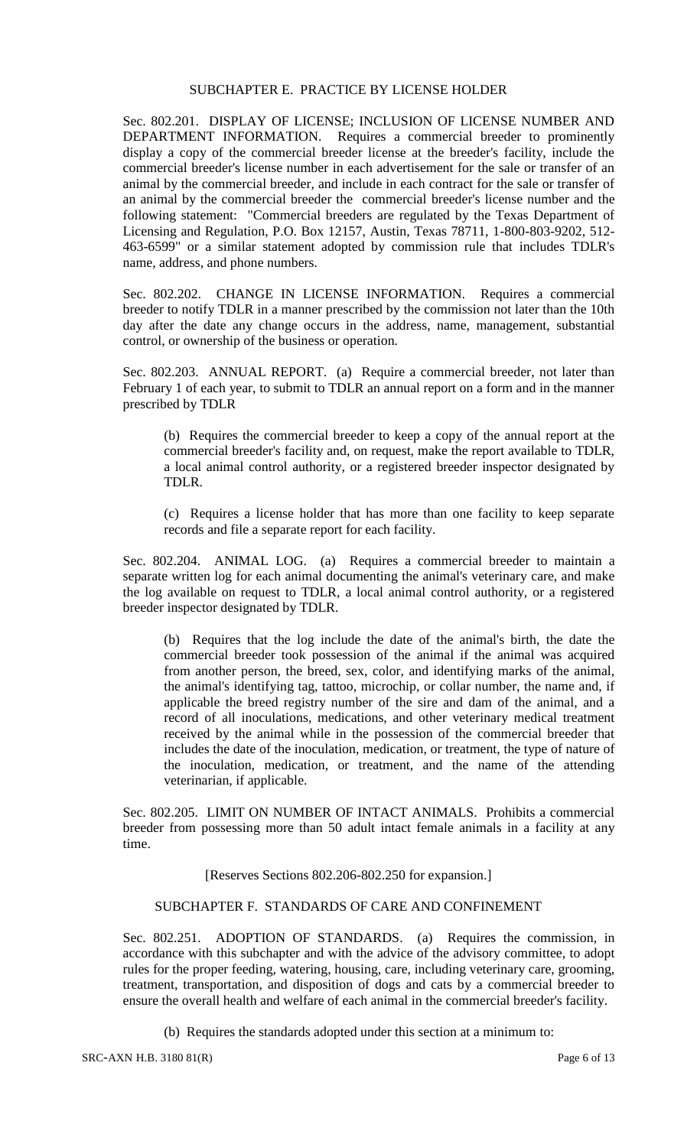### SUBCHAPTER E. PRACTICE BY LICENSE HOLDER

Sec. 802.201. DISPLAY OF LICENSE; INCLUSION OF LICENSE NUMBER AND DEPARTMENT INFORMATION. Requires a commercial breeder to prominently display a copy of the commercial breeder license at the breeder's facility, include the commercial breeder's license number in each advertisement for the sale or transfer of an animal by the commercial breeder, and include in each contract for the sale or transfer of an animal by the commercial breeder the commercial breeder's license number and the following statement: "Commercial breeders are regulated by the Texas Department of Licensing and Regulation, P.O. Box 12157, Austin, Texas 78711, 1-800-803-9202, 512- 463-6599" or a similar statement adopted by commission rule that includes TDLR's name, address, and phone numbers.

Sec. 802.202. CHANGE IN LICENSE INFORMATION. Requires a commercial breeder to notify TDLR in a manner prescribed by the commission not later than the 10th day after the date any change occurs in the address, name, management, substantial control, or ownership of the business or operation.

Sec. 802.203. ANNUAL REPORT. (a) Require a commercial breeder, not later than February 1 of each year, to submit to TDLR an annual report on a form and in the manner prescribed by TDLR

(b) Requires the commercial breeder to keep a copy of the annual report at the commercial breeder's facility and, on request, make the report available to TDLR, a local animal control authority, or a registered breeder inspector designated by TDLR.

(c) Requires a license holder that has more than one facility to keep separate records and file a separate report for each facility.

Sec. 802.204. ANIMAL LOG. (a) Requires a commercial breeder to maintain a separate written log for each animal documenting the animal's veterinary care, and make the log available on request to TDLR, a local animal control authority, or a registered breeder inspector designated by TDLR.

(b) Requires that the log include the date of the animal's birth, the date the commercial breeder took possession of the animal if the animal was acquired from another person, the breed, sex, color, and identifying marks of the animal, the animal's identifying tag, tattoo, microchip, or collar number, the name and, if applicable the breed registry number of the sire and dam of the animal, and a record of all inoculations, medications, and other veterinary medical treatment received by the animal while in the possession of the commercial breeder that includes the date of the inoculation, medication, or treatment, the type of nature of the inoculation, medication, or treatment, and the name of the attending veterinarian, if applicable.

Sec. 802.205. LIMIT ON NUMBER OF INTACT ANIMALS. Prohibits a commercial breeder from possessing more than 50 adult intact female animals in a facility at any time.

[Reserves Sections 802.206-802.250 for expansion.]

# SUBCHAPTER F. STANDARDS OF CARE AND CONFINEMENT

Sec. 802.251. ADOPTION OF STANDARDS. (a) Requires the commission, in accordance with this subchapter and with the advice of the advisory committee, to adopt rules for the proper feeding, watering, housing, care, including veterinary care, grooming, treatment, transportation, and disposition of dogs and cats by a commercial breeder to ensure the overall health and welfare of each animal in the commercial breeder's facility.

(b) Requires the standards adopted under this section at a minimum to: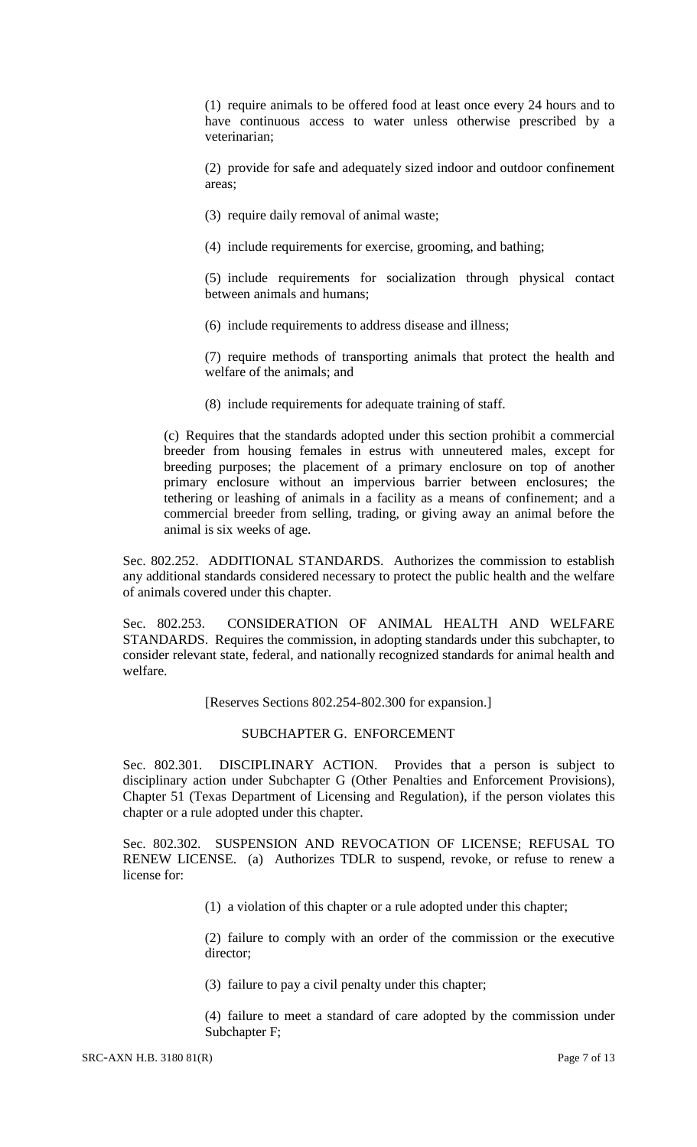(1) require animals to be offered food at least once every 24 hours and to have continuous access to water unless otherwise prescribed by a veterinarian;

(2) provide for safe and adequately sized indoor and outdoor confinement areas;

(3) require daily removal of animal waste;

(4) include requirements for exercise, grooming, and bathing;

(5) include requirements for socialization through physical contact between animals and humans;

(6) include requirements to address disease and illness;

(7) require methods of transporting animals that protect the health and welfare of the animals; and

(8) include requirements for adequate training of staff.

(c) Requires that the standards adopted under this section prohibit a commercial breeder from housing females in estrus with unneutered males, except for breeding purposes; the placement of a primary enclosure on top of another primary enclosure without an impervious barrier between enclosures; the tethering or leashing of animals in a facility as a means of confinement; and a commercial breeder from selling, trading, or giving away an animal before the animal is six weeks of age.

Sec. 802.252. ADDITIONAL STANDARDS. Authorizes the commission to establish any additional standards considered necessary to protect the public health and the welfare of animals covered under this chapter.

Sec. 802.253. CONSIDERATION OF ANIMAL HEALTH AND WELFARE STANDARDS. Requires the commission, in adopting standards under this subchapter, to consider relevant state, federal, and nationally recognized standards for animal health and welfare.

[Reserves Sections 802.254-802.300 for expansion.]

#### SUBCHAPTER G. ENFORCEMENT

Sec. 802.301. DISCIPLINARY ACTION. Provides that a person is subject to disciplinary action under Subchapter G (Other Penalties and Enforcement Provisions), Chapter 51 (Texas Department of Licensing and Regulation), if the person violates this chapter or a rule adopted under this chapter.

Sec. 802.302. SUSPENSION AND REVOCATION OF LICENSE; REFUSAL TO RENEW LICENSE. (a) Authorizes TDLR to suspend, revoke, or refuse to renew a license for:

(1) a violation of this chapter or a rule adopted under this chapter;

(2) failure to comply with an order of the commission or the executive director;

(3) failure to pay a civil penalty under this chapter;

(4) failure to meet a standard of care adopted by the commission under Subchapter F;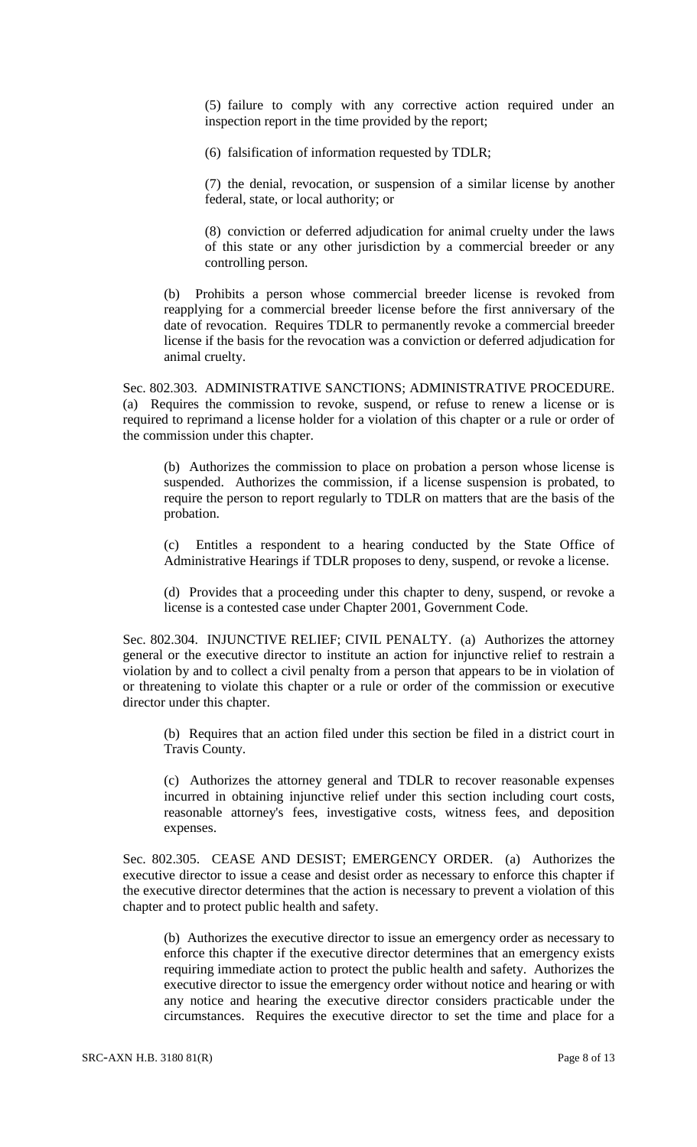(5) failure to comply with any corrective action required under an inspection report in the time provided by the report;

(6) falsification of information requested by TDLR;

(7) the denial, revocation, or suspension of a similar license by another federal, state, or local authority; or

(8) conviction or deferred adjudication for animal cruelty under the laws of this state or any other jurisdiction by a commercial breeder or any controlling person.

(b) Prohibits a person whose commercial breeder license is revoked from reapplying for a commercial breeder license before the first anniversary of the date of revocation. Requires TDLR to permanently revoke a commercial breeder license if the basis for the revocation was a conviction or deferred adjudication for animal cruelty.

Sec. 802.303. ADMINISTRATIVE SANCTIONS; ADMINISTRATIVE PROCEDURE. (a) Requires the commission to revoke, suspend, or refuse to renew a license or is required to reprimand a license holder for a violation of this chapter or a rule or order of the commission under this chapter.

(b) Authorizes the commission to place on probation a person whose license is suspended. Authorizes the commission, if a license suspension is probated, to require the person to report regularly to TDLR on matters that are the basis of the probation.

(c) Entitles a respondent to a hearing conducted by the State Office of Administrative Hearings if TDLR proposes to deny, suspend, or revoke a license.

(d) Provides that a proceeding under this chapter to deny, suspend, or revoke a license is a contested case under Chapter 2001, Government Code.

Sec. 802.304. INJUNCTIVE RELIEF; CIVIL PENALTY. (a) Authorizes the attorney general or the executive director to institute an action for injunctive relief to restrain a violation by and to collect a civil penalty from a person that appears to be in violation of or threatening to violate this chapter or a rule or order of the commission or executive director under this chapter.

(b) Requires that an action filed under this section be filed in a district court in Travis County.

(c) Authorizes the attorney general and TDLR to recover reasonable expenses incurred in obtaining injunctive relief under this section including court costs, reasonable attorney's fees, investigative costs, witness fees, and deposition expenses.

Sec. 802.305. CEASE AND DESIST; EMERGENCY ORDER. (a) Authorizes the executive director to issue a cease and desist order as necessary to enforce this chapter if the executive director determines that the action is necessary to prevent a violation of this chapter and to protect public health and safety.

(b) Authorizes the executive director to issue an emergency order as necessary to enforce this chapter if the executive director determines that an emergency exists requiring immediate action to protect the public health and safety. Authorizes the executive director to issue the emergency order without notice and hearing or with any notice and hearing the executive director considers practicable under the circumstances. Requires the executive director to set the time and place for a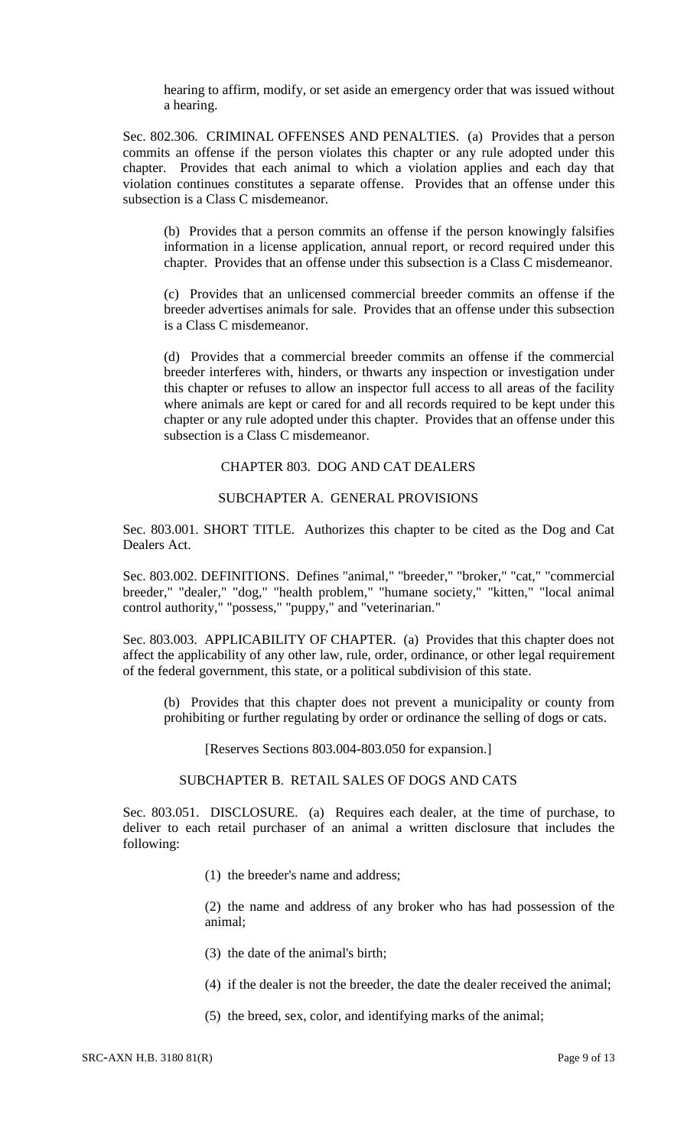hearing to affirm, modify, or set aside an emergency order that was issued without a hearing.

Sec. 802.306. CRIMINAL OFFENSES AND PENALTIES. (a) Provides that a person commits an offense if the person violates this chapter or any rule adopted under this chapter. Provides that each animal to which a violation applies and each day that violation continues constitutes a separate offense. Provides that an offense under this subsection is a Class C misdemeanor.

(b) Provides that a person commits an offense if the person knowingly falsifies information in a license application, annual report, or record required under this chapter. Provides that an offense under this subsection is a Class C misdemeanor.

(c) Provides that an unlicensed commercial breeder commits an offense if the breeder advertises animals for sale. Provides that an offense under this subsection is a Class C misdemeanor.

(d) Provides that a commercial breeder commits an offense if the commercial breeder interferes with, hinders, or thwarts any inspection or investigation under this chapter or refuses to allow an inspector full access to all areas of the facility where animals are kept or cared for and all records required to be kept under this chapter or any rule adopted under this chapter. Provides that an offense under this subsection is a Class C misdemeanor.

#### CHAPTER 803. DOG AND CAT DEALERS

## SUBCHAPTER A. GENERAL PROVISIONS

Sec. 803.001. SHORT TITLE. Authorizes this chapter to be cited as the Dog and Cat Dealers Act.

Sec. 803.002. DEFINITIONS. Defines "animal," "breeder," "broker," "cat," "commercial breeder," "dealer," "dog," "health problem," "humane society," "kitten," "local animal control authority," "possess," "puppy," and "veterinarian."

Sec. 803.003. APPLICABILITY OF CHAPTER. (a) Provides that this chapter does not affect the applicability of any other law, rule, order, ordinance, or other legal requirement of the federal government, this state, or a political subdivision of this state.

(b) Provides that this chapter does not prevent a municipality or county from prohibiting or further regulating by order or ordinance the selling of dogs or cats.

[Reserves Sections 803.004-803.050 for expansion.]

## SUBCHAPTER B. RETAIL SALES OF DOGS AND CATS

Sec. 803.051. DISCLOSURE. (a) Requires each dealer, at the time of purchase, to deliver to each retail purchaser of an animal a written disclosure that includes the following:

(1) the breeder's name and address;

(2) the name and address of any broker who has had possession of the animal;

- (3) the date of the animal's birth;
- (4) if the dealer is not the breeder, the date the dealer received the animal;
- (5) the breed, sex, color, and identifying marks of the animal;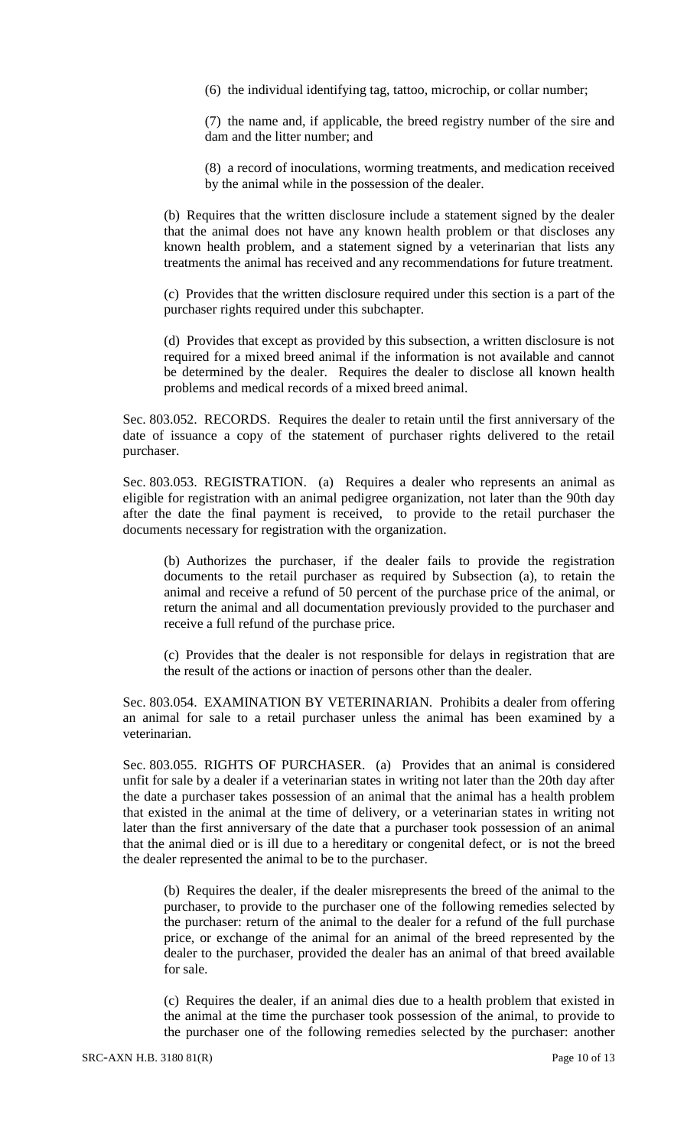(6) the individual identifying tag, tattoo, microchip, or collar number;

(7) the name and, if applicable, the breed registry number of the sire and dam and the litter number; and

(8) a record of inoculations, worming treatments, and medication received by the animal while in the possession of the dealer.

(b) Requires that the written disclosure include a statement signed by the dealer that the animal does not have any known health problem or that discloses any known health problem, and a statement signed by a veterinarian that lists any treatments the animal has received and any recommendations for future treatment.

(c) Provides that the written disclosure required under this section is a part of the purchaser rights required under this subchapter.

(d) Provides that except as provided by this subsection, a written disclosure is not required for a mixed breed animal if the information is not available and cannot be determined by the dealer. Requires the dealer to disclose all known health problems and medical records of a mixed breed animal.

Sec. 803.052. RECORDS. Requires the dealer to retain until the first anniversary of the date of issuance a copy of the statement of purchaser rights delivered to the retail purchaser.

Sec. 803.053. REGISTRATION. (a) Requires a dealer who represents an animal as eligible for registration with an animal pedigree organization, not later than the 90th day after the date the final payment is received, to provide to the retail purchaser the documents necessary for registration with the organization.

(b) Authorizes the purchaser, if the dealer fails to provide the registration documents to the retail purchaser as required by Subsection (a), to retain the animal and receive a refund of 50 percent of the purchase price of the animal, or return the animal and all documentation previously provided to the purchaser and receive a full refund of the purchase price.

(c) Provides that the dealer is not responsible for delays in registration that are the result of the actions or inaction of persons other than the dealer.

Sec. 803.054. EXAMINATION BY VETERINARIAN. Prohibits a dealer from offering an animal for sale to a retail purchaser unless the animal has been examined by a veterinarian.

Sec. 803.055. RIGHTS OF PURCHASER. (a) Provides that an animal is considered unfit for sale by a dealer if a veterinarian states in writing not later than the 20th day after the date a purchaser takes possession of an animal that the animal has a health problem that existed in the animal at the time of delivery, or a veterinarian states in writing not later than the first anniversary of the date that a purchaser took possession of an animal that the animal died or is ill due to a hereditary or congenital defect, or is not the breed the dealer represented the animal to be to the purchaser.

(b) Requires the dealer, if the dealer misrepresents the breed of the animal to the purchaser, to provide to the purchaser one of the following remedies selected by the purchaser: return of the animal to the dealer for a refund of the full purchase price, or exchange of the animal for an animal of the breed represented by the dealer to the purchaser, provided the dealer has an animal of that breed available for sale.

(c) Requires the dealer, if an animal dies due to a health problem that existed in the animal at the time the purchaser took possession of the animal, to provide to the purchaser one of the following remedies selected by the purchaser: another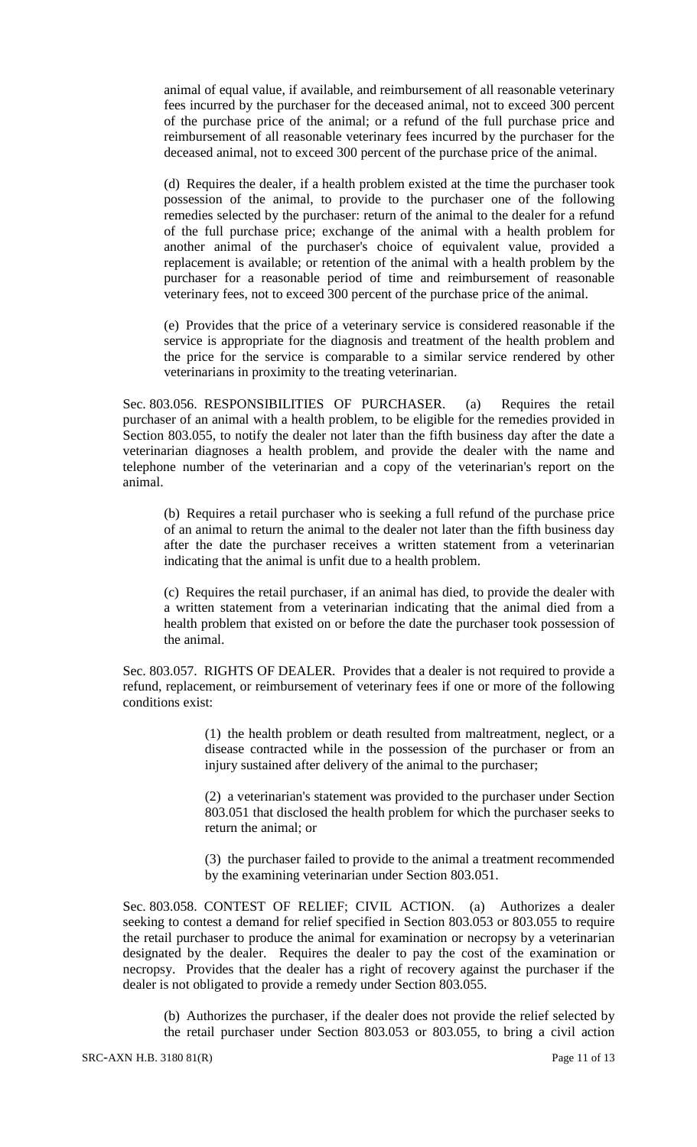animal of equal value, if available, and reimbursement of all reasonable veterinary fees incurred by the purchaser for the deceased animal, not to exceed 300 percent of the purchase price of the animal; or a refund of the full purchase price and reimbursement of all reasonable veterinary fees incurred by the purchaser for the deceased animal, not to exceed 300 percent of the purchase price of the animal.

(d) Requires the dealer, if a health problem existed at the time the purchaser took possession of the animal, to provide to the purchaser one of the following remedies selected by the purchaser: return of the animal to the dealer for a refund of the full purchase price; exchange of the animal with a health problem for another animal of the purchaser's choice of equivalent value, provided a replacement is available; or retention of the animal with a health problem by the purchaser for a reasonable period of time and reimbursement of reasonable veterinary fees, not to exceed 300 percent of the purchase price of the animal.

(e) Provides that the price of a veterinary service is considered reasonable if the service is appropriate for the diagnosis and treatment of the health problem and the price for the service is comparable to a similar service rendered by other veterinarians in proximity to the treating veterinarian.

Sec. 803.056. RESPONSIBILITIES OF PURCHASER. (a) Requires the retail purchaser of an animal with a health problem, to be eligible for the remedies provided in Section 803.055, to notify the dealer not later than the fifth business day after the date a veterinarian diagnoses a health problem, and provide the dealer with the name and telephone number of the veterinarian and a copy of the veterinarian's report on the animal.

(b) Requires a retail purchaser who is seeking a full refund of the purchase price of an animal to return the animal to the dealer not later than the fifth business day after the date the purchaser receives a written statement from a veterinarian indicating that the animal is unfit due to a health problem.

(c) Requires the retail purchaser, if an animal has died, to provide the dealer with a written statement from a veterinarian indicating that the animal died from a health problem that existed on or before the date the purchaser took possession of the animal.

Sec. 803.057. RIGHTS OF DEALER. Provides that a dealer is not required to provide a refund, replacement, or reimbursement of veterinary fees if one or more of the following conditions exist:

> (1) the health problem or death resulted from maltreatment, neglect, or a disease contracted while in the possession of the purchaser or from an injury sustained after delivery of the animal to the purchaser;

> (2) a veterinarian's statement was provided to the purchaser under Section 803.051 that disclosed the health problem for which the purchaser seeks to return the animal; or

> (3) the purchaser failed to provide to the animal a treatment recommended by the examining veterinarian under Section 803.051.

Sec. 803.058. CONTEST OF RELIEF; CIVIL ACTION. (a) Authorizes a dealer seeking to contest a demand for relief specified in Section 803.053 or 803.055 to require the retail purchaser to produce the animal for examination or necropsy by a veterinarian designated by the dealer. Requires the dealer to pay the cost of the examination or necropsy. Provides that the dealer has a right of recovery against the purchaser if the dealer is not obligated to provide a remedy under Section 803.055.

(b) Authorizes the purchaser, if the dealer does not provide the relief selected by the retail purchaser under Section 803.053 or 803.055, to bring a civil action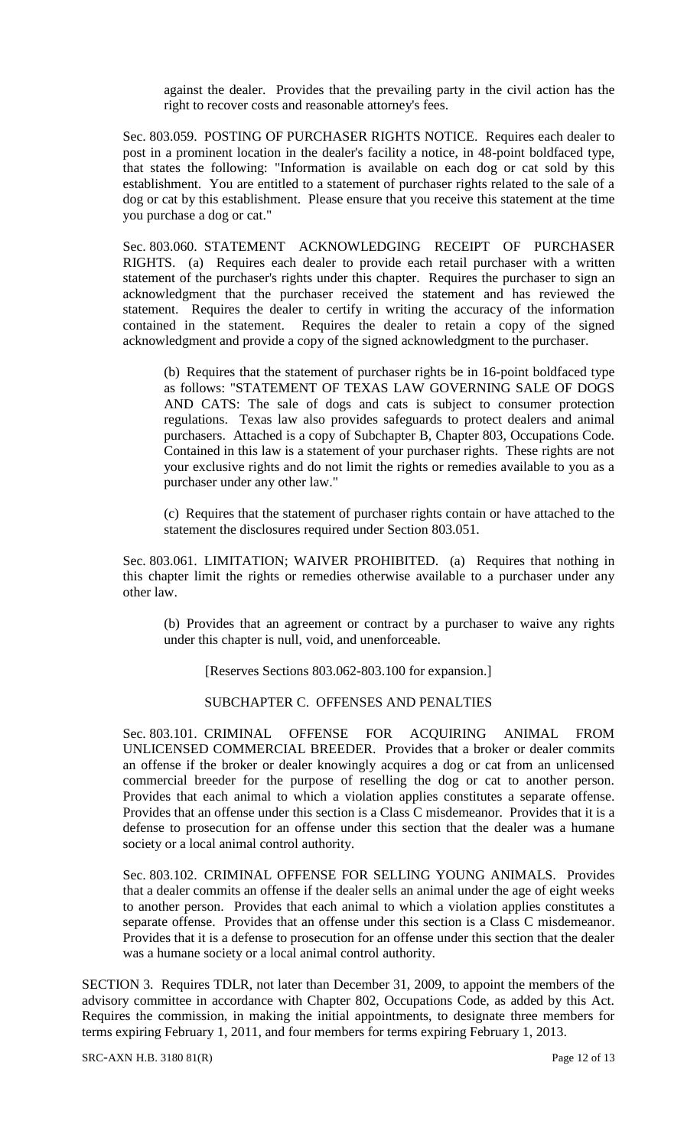against the dealer. Provides that the prevailing party in the civil action has the right to recover costs and reasonable attorney's fees.

Sec. 803.059. POSTING OF PURCHASER RIGHTS NOTICE. Requires each dealer to post in a prominent location in the dealer's facility a notice, in 48-point boldfaced type, that states the following: "Information is available on each dog or cat sold by this establishment. You are entitled to a statement of purchaser rights related to the sale of a dog or cat by this establishment. Please ensure that you receive this statement at the time you purchase a dog or cat."

Sec. 803.060. STATEMENT ACKNOWLEDGING RECEIPT OF PURCHASER RIGHTS. (a) Requires each dealer to provide each retail purchaser with a written statement of the purchaser's rights under this chapter. Requires the purchaser to sign an acknowledgment that the purchaser received the statement and has reviewed the statement. Requires the dealer to certify in writing the accuracy of the information contained in the statement. Requires the dealer to retain a copy of the signed acknowledgment and provide a copy of the signed acknowledgment to the purchaser.

(b) Requires that the statement of purchaser rights be in 16-point boldfaced type as follows: "STATEMENT OF TEXAS LAW GOVERNING SALE OF DOGS AND CATS: The sale of dogs and cats is subject to consumer protection regulations. Texas law also provides safeguards to protect dealers and animal purchasers. Attached is a copy of Subchapter B, Chapter 803, Occupations Code. Contained in this law is a statement of your purchaser rights. These rights are not your exclusive rights and do not limit the rights or remedies available to you as a purchaser under any other law."

(c) Requires that the statement of purchaser rights contain or have attached to the statement the disclosures required under Section 803.051.

Sec. 803.061. LIMITATION; WAIVER PROHIBITED. (a) Requires that nothing in this chapter limit the rights or remedies otherwise available to a purchaser under any other law.

(b) Provides that an agreement or contract by a purchaser to waive any rights under this chapter is null, void, and unenforceable.

[Reserves Sections 803.062-803.100 for expansion.]

SUBCHAPTER C. OFFENSES AND PENALTIES

Sec. 803.101. CRIMINAL OFFENSE FOR ACQUIRING ANIMAL FROM UNLICENSED COMMERCIAL BREEDER. Provides that a broker or dealer commits an offense if the broker or dealer knowingly acquires a dog or cat from an unlicensed commercial breeder for the purpose of reselling the dog or cat to another person. Provides that each animal to which a violation applies constitutes a separate offense. Provides that an offense under this section is a Class C misdemeanor. Provides that it is a defense to prosecution for an offense under this section that the dealer was a humane society or a local animal control authority.

Sec. 803.102. CRIMINAL OFFENSE FOR SELLING YOUNG ANIMALS. Provides that a dealer commits an offense if the dealer sells an animal under the age of eight weeks to another person. Provides that each animal to which a violation applies constitutes a separate offense. Provides that an offense under this section is a Class C misdemeanor. Provides that it is a defense to prosecution for an offense under this section that the dealer was a humane society or a local animal control authority.

SECTION 3. Requires TDLR, not later than December 31, 2009, to appoint the members of the advisory committee in accordance with Chapter 802, Occupations Code, as added by this Act. Requires the commission, in making the initial appointments, to designate three members for terms expiring February 1, 2011, and four members for terms expiring February 1, 2013.